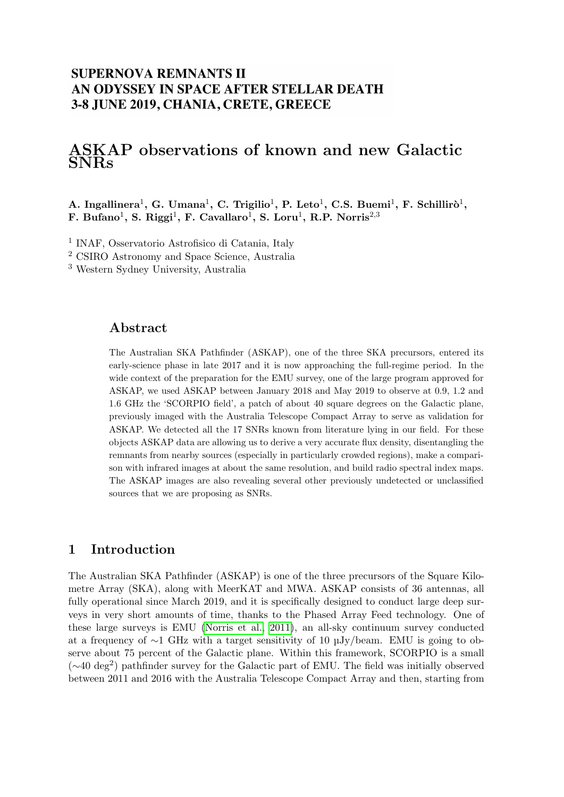## **SUPERNOVA REMNANTS II** AN ODYSSEY IN SPACE AFTER STELLAR DEATH 3-8 JUNE 2019, CHANIA, CRETE, GREECE

# ASKAP observations of known and new Galactic SNRs

A. Ingallinera<sup>1</sup>, G. Umana<sup>1</sup>, C. Trigilio<sup>1</sup>, P. Leto<sup>1</sup>, C.S. Buemi<sup>1</sup>, F. Schillirò<sup>1</sup>, F. Bufano<sup>1</sup>, S. Riggi<sup>1</sup>, F. Cavallaro<sup>1</sup>, S. Loru<sup>1</sup>, R.P. Norris<sup>2,3</sup>

1 INAF, Osservatorio Astrofisico di Catania, Italy

<sup>2</sup> CSIRO Astronomy and Space Science, Australia

<sup>3</sup> Western Sydney University, Australia

#### Abstract

The Australian SKA Pathfinder (ASKAP), one of the three SKA precursors, entered its early-science phase in late 2017 and it is now approaching the full-regime period. In the wide context of the preparation for the EMU survey, one of the large program approved for ASKAP, we used ASKAP between January 2018 and May 2019 to observe at 0.9, 1.2 and 1.6 GHz the 'SCORPIO field', a patch of about 40 square degrees on the Galactic plane, previously imaged with the Australia Telescope Compact Array to serve as validation for ASKAP. We detected all the 17 SNRs known from literature lying in our field. For these objects ASKAP data are allowing us to derive a very accurate flux density, disentangling the remnants from nearby sources (especially in particularly crowded regions), make a comparison with infrared images at about the same resolution, and build radio spectral index maps. The ASKAP images are also revealing several other previously undetected or unclassified sources that we are proposing as SNRs.

#### 1 Introduction

The Australian SKA Pathfinder (ASKAP) is one of the three precursors of the Square Kilometre Array (SKA), along with MeerKAT and MWA. ASKAP consists of 36 antennas, all fully operational since March 2019, and it is specifically designed to conduct large deep surveys in very short amounts of time, thanks to the Phased Array Feed technology. One of these large surveys is EMU [\(Norris et al., 2011\)](#page-2-0), an all-sky continuum survey conducted at a frequency of ∼1 GHz with a target sensitivity of 10 µJy/beam. EMU is going to observe about 75 percent of the Galactic plane. Within this framework, SCORPIO is a small (∼40 deg<sup>2</sup> ) pathfinder survey for the Galactic part of EMU. The field was initially observed between 2011 and 2016 with the Australia Telescope Compact Array and then, starting from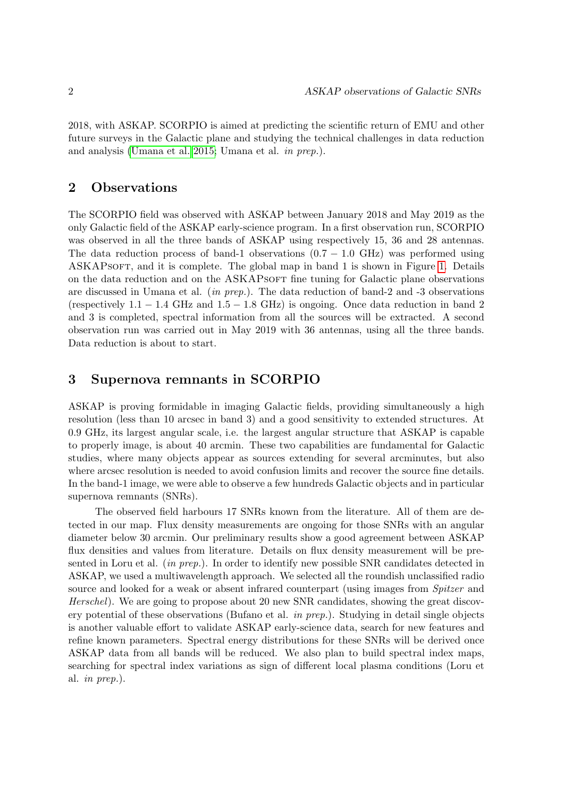2018, with ASKAP. SCORPIO is aimed at predicting the scientific return of EMU and other future surveys in the Galactic plane and studying the technical challenges in data reduction and analysis [\(Umana et al. 2015;](#page-2-1) Umana et al. in prep.).

#### 2 Observations

The SCORPIO field was observed with ASKAP between January 2018 and May 2019 as the only Galactic field of the ASKAP early-science program. In a first observation run, SCORPIO was observed in all the three bands of ASKAP using respectively 15, 36 and 28 antennas. The data reduction process of band-1 observations  $(0.7 - 1.0 \text{ GHz})$  was performed using ASKAPSOFT, and it is complete. The global map in band 1 is shown in Figure [1.](#page-2-2) Details on the data reduction and on the ASKAPSOFT fine tuning for Galactic plane observations are discussed in Umana et al. (in prep.). The data reduction of band-2 and -3 observations (respectively  $1.1 - 1.4$  GHz and  $1.5 - 1.8$  GHz) is ongoing. Once data reduction in band 2 and 3 is completed, spectral information from all the sources will be extracted. A second observation run was carried out in May 2019 with 36 antennas, using all the three bands. Data reduction is about to start.

#### 3 Supernova remnants in SCORPIO

ASKAP is proving formidable in imaging Galactic fields, providing simultaneously a high resolution (less than 10 arcsec in band 3) and a good sensitivity to extended structures. At 0.9 GHz, its largest angular scale, i.e. the largest angular structure that ASKAP is capable to properly image, is about 40 arcmin. These two capabilities are fundamental for Galactic studies, where many objects appear as sources extending for several arcminutes, but also where arcsec resolution is needed to avoid confusion limits and recover the source fine details. In the band-1 image, we were able to observe a few hundreds Galactic objects and in particular supernova remnants (SNRs).

The observed field harbours 17 SNRs known from the literature. All of them are detected in our map. Flux density measurements are ongoing for those SNRs with an angular diameter below 30 arcmin. Our preliminary results show a good agreement between ASKAP flux densities and values from literature. Details on flux density measurement will be presented in Loru et al. (in prep.). In order to identify new possible SNR candidates detected in ASKAP, we used a multiwavelength approach. We selected all the roundish unclassified radio source and looked for a weak or absent infrared counterpart (using images from Spitzer and Herschel). We are going to propose about 20 new SNR candidates, showing the great discovery potential of these observations (Bufano et al. in prep.). Studying in detail single objects is another valuable effort to validate ASKAP early-science data, search for new features and refine known parameters. Spectral energy distributions for these SNRs will be derived once ASKAP data from all bands will be reduced. We also plan to build spectral index maps, searching for spectral index variations as sign of different local plasma conditions (Loru et al. in prep.).